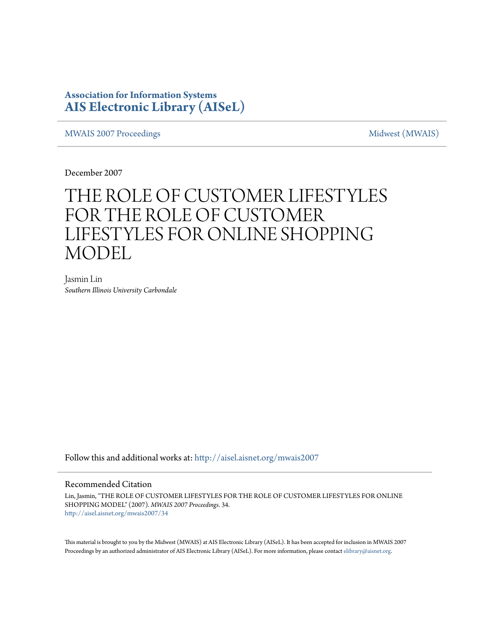### **Association for Information Systems [AIS Electronic Library \(AISeL\)](http://aisel.aisnet.org?utm_source=aisel.aisnet.org%2Fmwais2007%2F34&utm_medium=PDF&utm_campaign=PDFCoverPages)**

[MWAIS 2007 Proceedings](http://aisel.aisnet.org/mwais2007?utm_source=aisel.aisnet.org%2Fmwais2007%2F34&utm_medium=PDF&utm_campaign=PDFCoverPages) and the matrix of the [Midwest \(MWAIS\)](http://aisel.aisnet.org/mwais?utm_source=aisel.aisnet.org%2Fmwais2007%2F34&utm_medium=PDF&utm_campaign=PDFCoverPages)

December 2007

# THE ROLE OF CUSTOMER LIFESTYLES FOR THE ROLE OF CUSTOMER LIFESTYLES FOR ONLINE SHOPPING MODEL

Jasmin Lin *Southern Illinois University Carbondale*

Follow this and additional works at: [http://aisel.aisnet.org/mwais2007](http://aisel.aisnet.org/mwais2007?utm_source=aisel.aisnet.org%2Fmwais2007%2F34&utm_medium=PDF&utm_campaign=PDFCoverPages)

#### Recommended Citation

Lin, Jasmin, "THE ROLE OF CUSTOMER LIFESTYLES FOR THE ROLE OF CUSTOMER LIFESTYLES FOR ONLINE SHOPPING MODEL" (2007). *MWAIS 2007 Proceedings*. 34. [http://aisel.aisnet.org/mwais2007/34](http://aisel.aisnet.org/mwais2007/34?utm_source=aisel.aisnet.org%2Fmwais2007%2F34&utm_medium=PDF&utm_campaign=PDFCoverPages)

This material is brought to you by the Midwest (MWAIS) at AIS Electronic Library (AISeL). It has been accepted for inclusion in MWAIS 2007 Proceedings by an authorized administrator of AIS Electronic Library (AISeL). For more information, please contact [elibrary@aisnet.org](mailto:elibrary@aisnet.org%3E).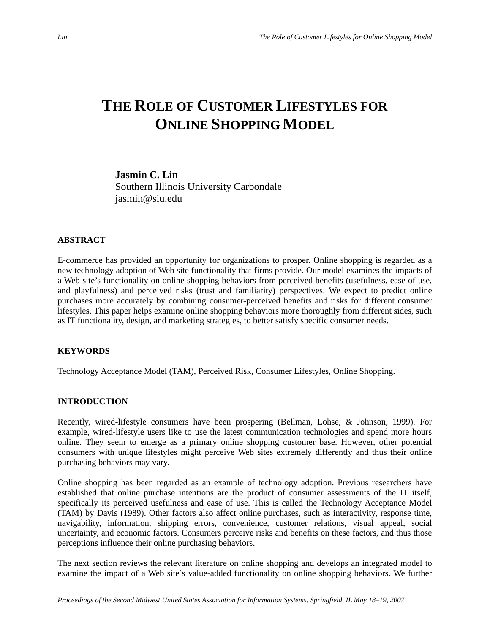## **THE ROLE OF CUSTOMER LIFESTYLES FOR ONLINE SHOPPING MODEL**

**Jasmin C. Lin**  Southern Illinois University Carbondale jasmin@siu.edu

#### **ABSTRACT**

E-commerce has provided an opportunity for organizations to prosper. Online shopping is regarded as a new technology adoption of Web site functionality that firms provide. Our model examines the impacts of a Web site's functionality on online shopping behaviors from perceived benefits (usefulness, ease of use, and playfulness) and perceived risks (trust and familiarity) perspectives. We expect to predict online purchases more accurately by combining consumer-perceived benefits and risks for different consumer lifestyles. This paper helps examine online shopping behaviors more thoroughly from different sides, such as IT functionality, design, and marketing strategies, to better satisfy specific consumer needs.

#### **KEYWORDS**

Technology Acceptance Model (TAM), Perceived Risk, Consumer Lifestyles, Online Shopping.

#### **INTRODUCTION**

Recently, wired-lifestyle consumers have been prospering (Bellman, Lohse, & Johnson, 1999). For example, wired-lifestyle users like to use the latest communication technologies and spend more hours online. They seem to emerge as a primary online shopping customer base. However, other potential consumers with unique lifestyles might perceive Web sites extremely differently and thus their online purchasing behaviors may vary.

Online shopping has been regarded as an example of technology adoption. Previous researchers have established that online purchase intentions are the product of consumer assessments of the IT itself, specifically its perceived usefulness and ease of use. This is called the Technology Acceptance Model (TAM) by Davis (1989). Other factors also affect online purchases, such as interactivity, response time, navigability, information, shipping errors, convenience, customer relations, visual appeal, social uncertainty, and economic factors. Consumers perceive risks and benefits on these factors, and thus those perceptions influence their online purchasing behaviors.

The next section reviews the relevant literature on online shopping and develops an integrated model to examine the impact of a Web site's value-added functionality on online shopping behaviors. We further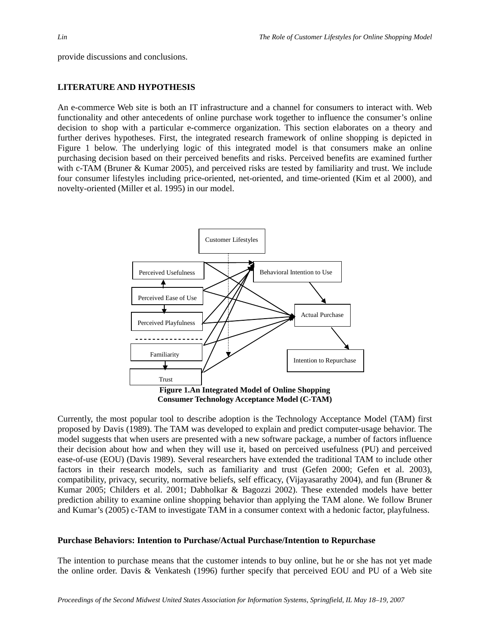provide discussions and conclusions.

#### **LITERATURE AND HYPOTHESIS**

An e-commerce Web site is both an IT infrastructure and a channel for consumers to interact with. Web functionality and other antecedents of online purchase work together to influence the consumer's online decision to shop with a particular e-commerce organization. This section elaborates on a theory and further derives hypotheses. First, the integrated research framework of online shopping is depicted in Figure 1 below. The underlying logic of this integrated model is that consumers make an online purchasing decision based on their perceived benefits and risks. Perceived benefits are examined further with c-TAM (Bruner & Kumar 2005), and perceived risks are tested by familiarity and trust. We include four consumer lifestyles including price-oriented, net-oriented, and time-oriented (Kim et al 2000), and novelty-oriented (Miller et al. 1995) in our model.



Currently, the most popular tool to describe adoption is the Technology Acceptance Model (TAM) first proposed by Davis (1989). The TAM was developed to explain and predict computer-usage behavior. The model suggests that when users are presented with a new software package, a number of factors influence their decision about how and when they will use it, based on perceived usefulness (PU) and perceived ease-of-use (EOU) (Davis 1989). Several researchers have extended the traditional TAM to include other factors in their research models, such as familiarity and trust (Gefen 2000; Gefen et al. 2003), compatibility, privacy, security, normative beliefs, self efficacy, (Vijayasarathy 2004), and fun (Bruner & Kumar 2005; Childers et al. 2001; Dabholkar & Bagozzi 2002). These extended models have better prediction ability to examine online shopping behavior than applying the TAM alone. We follow Bruner and Kumar's (2005) c-TAM to investigate TAM in a consumer context with a hedonic factor, playfulness.

#### **Purchase Behaviors: Intention to Purchase/Actual Purchase/Intention to Repurchase**

The intention to purchase means that the customer intends to buy online, but he or she has not yet made the online order. Davis & Venkatesh (1996) further specify that perceived EOU and PU of a Web site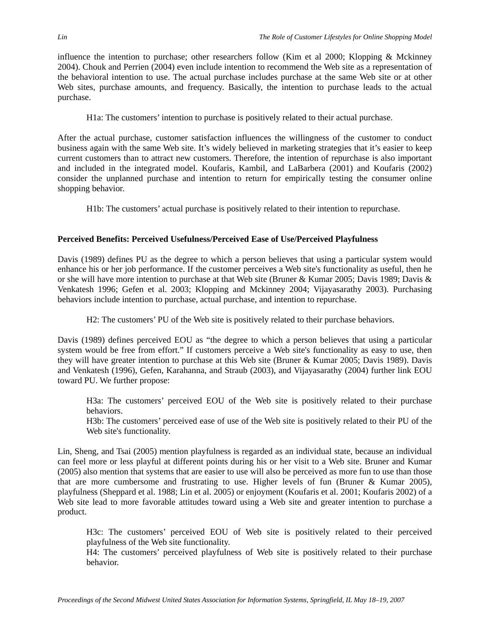influence the intention to purchase; other researchers follow (Kim et al 2000; Klopping & Mckinney 2004). Chouk and Perrien (2004) even include intention to recommend the Web site as a representation of the behavioral intention to use. The actual purchase includes purchase at the same Web site or at other Web sites, purchase amounts, and frequency. Basically, the intention to purchase leads to the actual purchase.

H1a: The customers' intention to purchase is positively related to their actual purchase.

After the actual purchase, customer satisfaction influences the willingness of the customer to conduct business again with the same Web site. It's widely believed in marketing strategies that it's easier to keep current customers than to attract new customers. Therefore, the intention of repurchase is also important and included in the integrated model. Koufaris, Kambil, and LaBarbera (2001) and Koufaris (2002) consider the unplanned purchase and intention to return for empirically testing the consumer online shopping behavior.

H1b: The customers' actual purchase is positively related to their intention to repurchase.

#### **Perceived Benefits: Perceived Usefulness/Perceived Ease of Use/Perceived Playfulness**

Davis (1989) defines PU as the degree to which a person believes that using a particular system would enhance his or her job performance. If the customer perceives a Web site's functionality as useful, then he or she will have more intention to purchase at that Web site (Bruner & Kumar 2005; Davis 1989; Davis & Venkatesh 1996; Gefen et al. 2003; Klopping and Mckinney 2004; Vijayasarathy 2003). Purchasing behaviors include intention to purchase, actual purchase, and intention to repurchase.

H2: The customers' PU of the Web site is positively related to their purchase behaviors.

Davis (1989) defines perceived EOU as "the degree to which a person believes that using a particular system would be free from effort." If customers perceive a Web site's functionality as easy to use, then they will have greater intention to purchase at this Web site (Bruner & Kumar 2005; Davis 1989). Davis and Venkatesh (1996), Gefen, Karahanna, and Straub (2003), and Vijayasarathy (2004) further link EOU toward PU. We further propose:

H3a: The customers' perceived EOU of the Web site is positively related to their purchase behaviors.

H3b: The customers' perceived ease of use of the Web site is positively related to their PU of the Web site's functionality.

Lin, Sheng, and Tsai (2005) mention playfulness is regarded as an individual state, because an individual can feel more or less playful at different points during his or her visit to a Web site. Bruner and Kumar (2005) also mention that systems that are easier to use will also be perceived as more fun to use than those that are more cumbersome and frustrating to use. Higher levels of fun (Bruner & Kumar 2005), playfulness (Sheppard et al. 1988; Lin et al. 2005) or enjoyment (Koufaris et al. 2001; Koufaris 2002) of a Web site lead to more favorable attitudes toward using a Web site and greater intention to purchase a product.

H3c: The customers' perceived EOU of Web site is positively related to their perceived playfulness of the Web site functionality.

H4: The customers' perceived playfulness of Web site is positively related to their purchase behavior.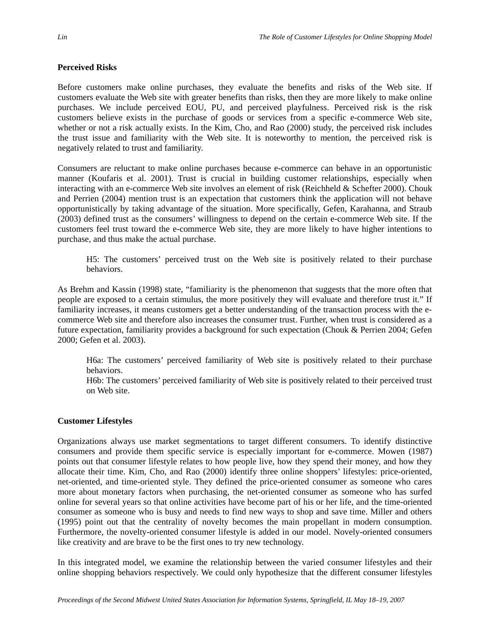#### **Perceived Risks**

Before customers make online purchases, they evaluate the benefits and risks of the Web site. If customers evaluate the Web site with greater benefits than risks, then they are more likely to make online purchases. We include perceived EOU, PU, and perceived playfulness. Perceived risk is the risk customers believe exists in the purchase of goods or services from a specific e-commerce Web site, whether or not a risk actually exists. In the Kim, Cho, and Rao (2000) study, the perceived risk includes the trust issue and familiarity with the Web site. It is noteworthy to mention, the perceived risk is negatively related to trust and familiarity.

Consumers are reluctant to make online purchases because e-commerce can behave in an opportunistic manner (Koufaris et al. 2001). Trust is crucial in building customer relationships, especially when interacting with an e-commerce Web site involves an element of risk (Reichheld & Schefter 2000). Chouk and Perrien (2004) mention trust is an expectation that customers think the application will not behave opportunistically by taking advantage of the situation. More specifically, Gefen, Karahanna, and Straub (2003) defined trust as the consumers' willingness to depend on the certain e-commerce Web site. If the customers feel trust toward the e-commerce Web site, they are more likely to have higher intentions to purchase, and thus make the actual purchase.

H5: The customers' perceived trust on the Web site is positively related to their purchase behaviors.

As Brehm and Kassin (1998) state, "familiarity is the phenomenon that suggests that the more often that people are exposed to a certain stimulus, the more positively they will evaluate and therefore trust it." If familiarity increases, it means customers get a better understanding of the transaction process with the ecommerce Web site and therefore also increases the consumer trust. Further, when trust is considered as a future expectation, familiarity provides a background for such expectation (Chouk & Perrien 2004; Gefen 2000; Gefen et al. 2003).

H6a: The customers' perceived familiarity of Web site is positively related to their purchase behaviors.

H6b: The customers' perceived familiarity of Web site is positively related to their perceived trust on Web site.

#### **Customer Lifestyles**

Organizations always use market segmentations to target different consumers. To identify distinctive consumers and provide them specific service is especially important for e-commerce. Mowen (1987) points out that consumer lifestyle relates to how people live, how they spend their money, and how they allocate their time. Kim, Cho, and Rao (2000) identify three online shoppers' lifestyles: price-oriented, net-oriented, and time-oriented style. They defined the price-oriented consumer as someone who cares more about monetary factors when purchasing, the net-oriented consumer as someone who has surfed online for several years so that online activities have become part of his or her life, and the time-oriented consumer as someone who is busy and needs to find new ways to shop and save time. Miller and others (1995) point out that the centrality of novelty becomes the main propellant in modern consumption. Furthermore, the novelty-oriented consumer lifestyle is added in our model. Novely-oriented consumers like creativity and are brave to be the first ones to try new technology.

In this integrated model, we examine the relationship between the varied consumer lifestyles and their online shopping behaviors respectively. We could only hypothesize that the different consumer lifestyles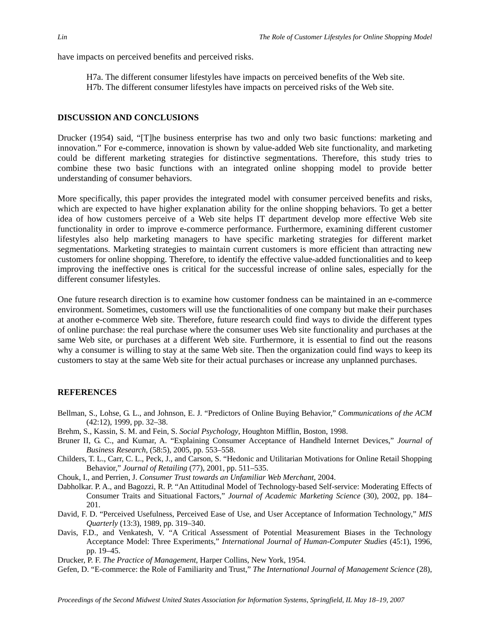have impacts on perceived benefits and perceived risks.

H7a. The different consumer lifestyles have impacts on perceived benefits of the Web site. H7b. The different consumer lifestyles have impacts on perceived risks of the Web site.

#### **DISCUSSION AND CONCLUSIONS**

Drucker (1954) said, "[T]he business enterprise has two and only two basic functions: marketing and innovation." For e-commerce, innovation is shown by value-added Web site functionality, and marketing could be different marketing strategies for distinctive segmentations. Therefore, this study tries to combine these two basic functions with an integrated online shopping model to provide better understanding of consumer behaviors.

More specifically, this paper provides the integrated model with consumer perceived benefits and risks, which are expected to have higher explanation ability for the online shopping behaviors. To get a better idea of how customers perceive of a Web site helps IT department develop more effective Web site functionality in order to improve e-commerce performance. Furthermore, examining different customer lifestyles also help marketing managers to have specific marketing strategies for different market segmentations. Marketing strategies to maintain current customers is more efficient than attracting new customers for online shopping. Therefore, to identify the effective value-added functionalities and to keep improving the ineffective ones is critical for the successful increase of online sales, especially for the different consumer lifestyles.

One future research direction is to examine how customer fondness can be maintained in an e-commerce environment. Sometimes, customers will use the functionalities of one company but make their purchases at another e-commerce Web site. Therefore, future research could find ways to divide the different types of online purchase: the real purchase where the consumer uses Web site functionality and purchases at the same Web site, or purchases at a different Web site. Furthermore, it is essential to find out the reasons why a consumer is willing to stay at the same Web site. Then the organization could find ways to keep its customers to stay at the same Web site for their actual purchases or increase any unplanned purchases.

#### **REFERENCES**

- Bellman, S., Lohse, G. L., and Johnson, E. J. "Predictors of Online Buying Behavior," *Communications of the ACM* (42:12), 1999, pp. 32–38.
- Brehm, S., Kassin, S. M. and Fein, S. *Social Psychology*, Houghton Mifflin, Boston, 1998.
- Bruner II, G. C., and Kumar, A. "Explaining Consumer Acceptance of Handheld Internet Devices," *Journal of Business Research*, (58:5), 2005, pp. 553–558.
- Childers, T. L., Carr, C. L., Peck, J., and Carson, S. "Hedonic and Utilitarian Motivations for Online Retail Shopping Behavior," *Journal of Retailing* (77), 2001, pp. 511–535.
- Chouk, I., and Perrien, J. *Consumer Trust towards an Unfamiliar Web Merchant*, 2004.
- Dabholkar. P. A., and Bagozzi, R. P. "An Attitudinal Model of Technology-based Self-service: Moderating Effects of Consumer Traits and Situational Factors," *Journal of Academic Marketing Science* (30), 2002, pp. 184– 201.
- David, F. D. "Perceived Usefulness, Perceived Ease of Use, and User Acceptance of Information Technology," *MIS Quarterly* (13:3), 1989, pp. 319–340.
- Davis, F.D., and Venkatesh, V. "A Critical Assessment of Potential Measurement Biases in the Technology Acceptance Model: Three Experiments," *International Journal of Human-Computer Studies* (45:1), 1996, pp. 19–45.
- Drucker, P. F. *The Practice of Management*, Harper Collins, New York, 1954.
- Gefen, D. "E-commerce: the Role of Familiarity and Trust," *The International Journal of Management Science* (28),